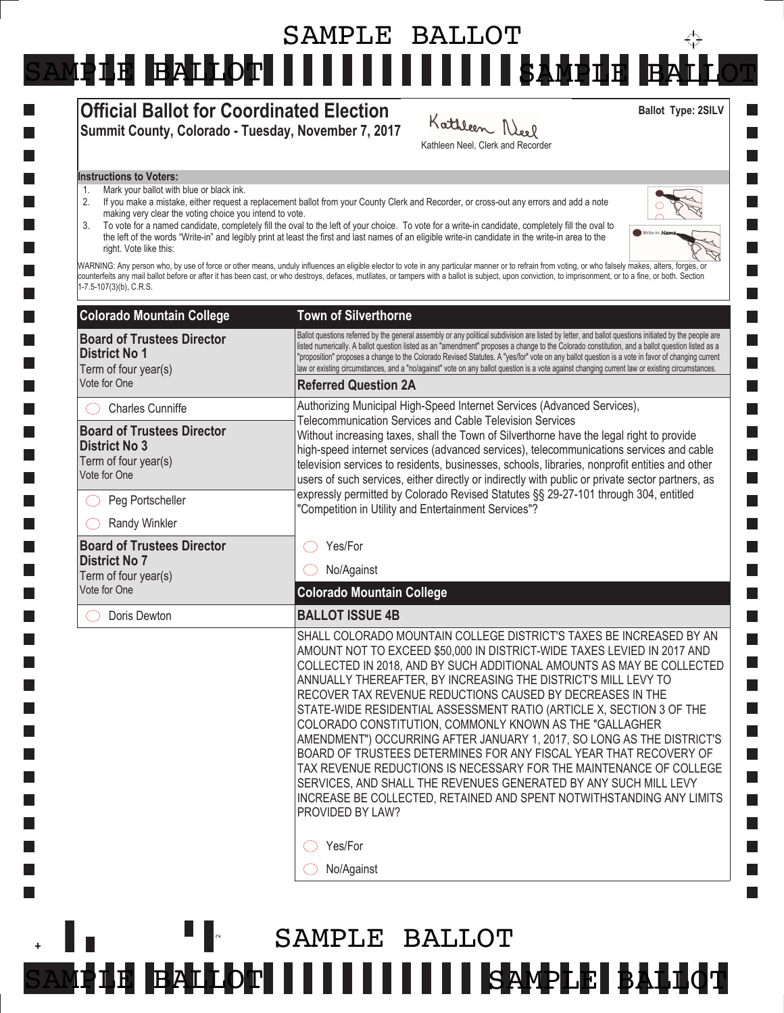## SAMPLE BALLOT $\overleftrightarrow{\cdot}$ SAMPLE BALLOT IIIIIIIIIIIIISAMPLE E

#### Official Ballot for Coordinated Election Summit County, Colorado - Tuesday, November 7, 2017

#### Kathleen Neel Kathleen Neel, Clerk and Recorder

Ballot Type: 2SILV

#### Instructions to Voters:

- 1. Mark your ballot with blue or black ink.
- 2. If you make a mistake, either request a replacement ballot from your County Clerk and Recorder, or cross-out any errors and add a note making very clear the voting choice you intend to vote.
- 3. To vote for a named candidate, completely fill the oval to the left of your choice. To vote for a write-in candidate, completely fill the oval to the left of the words "Write-in" and legibly print at least the first and last names of an eligible write-in candidate in the write-in area to the right. Vote like this:



**College**  $\Box$ **College I** 

WARNING: Any person who, by use of force or other means, unduly influences an eligible elector to vote in any particular manner or to refrain from voting, or who falsely makes, alters, forges, or counterfeits any mail ballot before or after it has been cast, or who destroys, defaces, mutilates, or tampers with a ballot is subject, upon conviction, to imprisonment, or to a fine, or both. Section 1-7.5-107(3)(b), C.R.S.

| <b>Colorado Mountain College</b>                                                                  | <b>Town of Silverthorne</b>                                                                                                                                                                                                                                                                                                                                                                                                                                                                                                                                                                                                                                                                                                                                                                                                                                                               |
|---------------------------------------------------------------------------------------------------|-------------------------------------------------------------------------------------------------------------------------------------------------------------------------------------------------------------------------------------------------------------------------------------------------------------------------------------------------------------------------------------------------------------------------------------------------------------------------------------------------------------------------------------------------------------------------------------------------------------------------------------------------------------------------------------------------------------------------------------------------------------------------------------------------------------------------------------------------------------------------------------------|
| <b>Board of Trustees Director</b><br><b>District No 1</b><br>Term of four year(s)<br>Vote for One | Ballot questions referred by the general assembly or any political subdivision are listed by letter, and ballot questions initiated by the people are<br>listed numerically. A ballot question listed as an "amendment" proposes a change to the Colorado constitution, and a ballot question listed as a<br>"proposition" proposes a change to the Colorado Revised Statutes. A "yes/for" vote on any ballot question is a vote in favor of changing current<br>law or existing circumstances, and a "no/against" vote on any ballot question is a vote against changing current law or existing circumstances.                                                                                                                                                                                                                                                                          |
|                                                                                                   | <b>Referred Question 2A</b>                                                                                                                                                                                                                                                                                                                                                                                                                                                                                                                                                                                                                                                                                                                                                                                                                                                               |
| <b>Charles Cunniffe</b>                                                                           | Authorizing Municipal High-Speed Internet Services (Advanced Services),<br>Telecommunication Services and Cable Television Services<br>Without increasing taxes, shall the Town of Silverthorne have the legal right to provide<br>high-speed internet services (advanced services), telecommunications services and cable<br>television services to residents, businesses, schools, libraries, nonprofit entities and other<br>users of such services, either directly or indirectly with public or private sector partners, as<br>expressly permitted by Colorado Revised Statutes §§ 29-27-101 through 304, entitled<br>"Competition in Utility and Entertainment Services"?                                                                                                                                                                                                           |
| <b>Board of Trustees Director</b><br><b>District No 3</b><br>Term of four year(s)<br>Vote for One |                                                                                                                                                                                                                                                                                                                                                                                                                                                                                                                                                                                                                                                                                                                                                                                                                                                                                           |
| Peg Portscheller                                                                                  |                                                                                                                                                                                                                                                                                                                                                                                                                                                                                                                                                                                                                                                                                                                                                                                                                                                                                           |
| Randy Winkler                                                                                     |                                                                                                                                                                                                                                                                                                                                                                                                                                                                                                                                                                                                                                                                                                                                                                                                                                                                                           |
| <b>Board of Trustees Director</b><br><b>District No 7</b><br>Term of four year(s)<br>Vote for One | Yes/For                                                                                                                                                                                                                                                                                                                                                                                                                                                                                                                                                                                                                                                                                                                                                                                                                                                                                   |
|                                                                                                   | No/Against                                                                                                                                                                                                                                                                                                                                                                                                                                                                                                                                                                                                                                                                                                                                                                                                                                                                                |
|                                                                                                   | <b>Colorado Mountain College</b>                                                                                                                                                                                                                                                                                                                                                                                                                                                                                                                                                                                                                                                                                                                                                                                                                                                          |
| Doris Dewton                                                                                      | <b>BALLOT ISSUE 4B</b>                                                                                                                                                                                                                                                                                                                                                                                                                                                                                                                                                                                                                                                                                                                                                                                                                                                                    |
|                                                                                                   | SHALL COLORADO MOUNTAIN COLLEGE DISTRICT'S TAXES BE INCREASED BY AN<br>AMOUNT NOT TO EXCEED \$50,000 IN DISTRICT-WIDE TAXES LEVIED IN 2017 AND<br>COLLECTED IN 2018, AND BY SUCH ADDITIONAL AMOUNTS AS MAY BE COLLECTED<br>ANNUALLY THEREAFTER, BY INCREASING THE DISTRICT'S MILL LEVY TO<br>RECOVER TAX REVENUE REDUCTIONS CAUSED BY DECREASES IN THE<br>STATE-WIDE RESIDENTIAL ASSESSMENT RATIO (ARTICLE X, SECTION 3 OF THE<br>COLORADO CONSTITUTION, COMMONLY KNOWN AS THE "GALLAGHER<br>AMENDMENT") OCCURRING AFTER JANUARY 1, 2017, SO LONG AS THE DISTRICT'S<br>BOARD OF TRUSTEES DETERMINES FOR ANY FISCAL YEAR THAT RECOVERY OF<br>TAX REVENUE REDUCTIONS IS NECESSARY FOR THE MAINTENANCE OF COLLEGE<br>SERVICES, AND SHALL THE REVENUES GENERATED BY ANY SUCH MILL LEVY<br>INCREASE BE COLLECTED, RETAINED AND SPENT NOTWITHSTANDING ANY LIMITS<br>PROVIDED BY LAW?<br>Yes/For |
|                                                                                                   | No/Against                                                                                                                                                                                                                                                                                                                                                                                                                                                                                                                                                                                                                                                                                                                                                                                                                                                                                |
|                                                                                                   |                                                                                                                                                                                                                                                                                                                                                                                                                                                                                                                                                                                                                                                                                                                                                                                                                                                                                           |

## $\sim$ **SAMPLE BALLOT SIII SAMPLE BALLOT** SAMPLE BALLOT